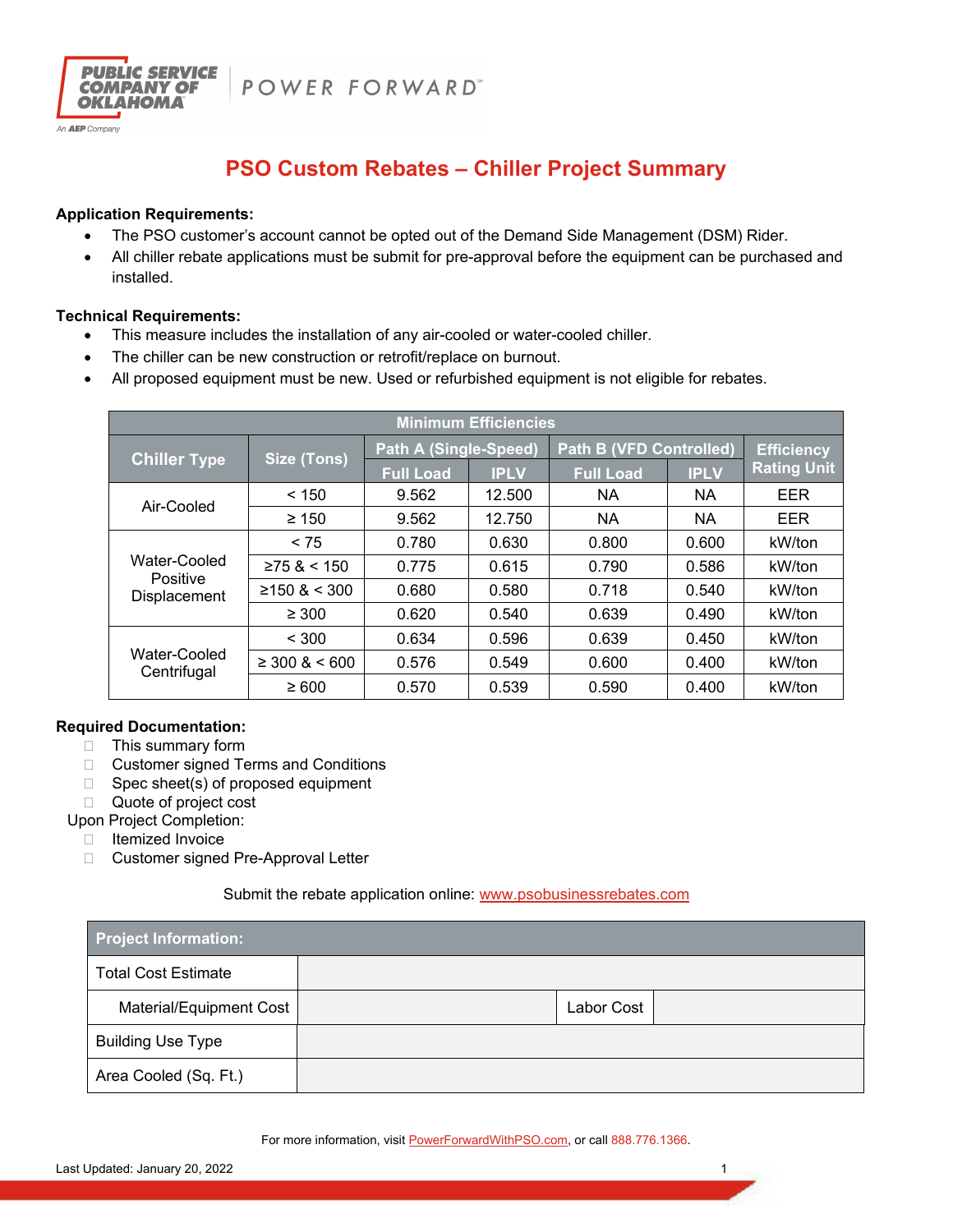POWER FORWARD"



## **Application Requirements:**

**PUBLIC SERVICE** 

**COMPANY OF OKLAHOMA** 

An **AEP** Company

- The PSO customer's account cannot be opted out of the Demand Side Management (DSM) Rider.
- All chiller rebate applications must be submit for pre-approval before the equipment can be purchased and installed.

## **Technical Requirements:**

- This measure includes the installation of any air-cooled or water-cooled chiller.
- The chiller can be new construction or retrofit/replace on burnout.
- All proposed equipment must be new. Used or refurbished equipment is not eligible for rebates.

| <b>Minimum Efficiencies</b>              |                    |                              |             |                                |             |                    |  |  |
|------------------------------------------|--------------------|------------------------------|-------------|--------------------------------|-------------|--------------------|--|--|
| <b>Chiller Type</b>                      | <b>Size (Tons)</b> | <b>Path A (Single-Speed)</b> |             | <b>Path B (VFD Controlled)</b> |             | <b>Efficiency</b>  |  |  |
|                                          |                    | <b>Full Load</b>             | <b>IPLV</b> | <b>Full Load</b>               | <b>IPLV</b> | <b>Rating Unit</b> |  |  |
| Air-Cooled                               | < 150              | 9.562                        | 12.500      | <b>NA</b>                      | <b>NA</b>   | EER                |  |  |
|                                          | $\geq 150$         | 9.562                        | 12.750      | <b>NA</b>                      | ΝA          | EER                |  |  |
| Water-Cooled<br>Positive<br>Displacement | < 75               | 0.780                        | 0.630       | 0.800                          | 0.600       | kW/ton             |  |  |
|                                          | ≥75 < 150          | 0.775                        | 0.615       | 0.790                          | 0.586       | kW/ton             |  |  |
|                                          | $≥150$ & < 300     | 0.680                        | 0.580       | 0.718                          | 0.540       | kW/ton             |  |  |
|                                          | $\geq 300$         | 0.620                        | 0.540       | 0.639                          | 0.490       | kW/ton             |  |  |
| Water-Cooled<br>Centrifugal              | < 300              | 0.634                        | 0.596       | 0.639                          | 0.450       | kW/ton             |  |  |
|                                          | $\geq$ 300 & < 600 | 0.576                        | 0.549       | 0.600                          | 0.400       | kW/ton             |  |  |
|                                          | $\geq 600$         | 0.570                        | 0.539       | 0.590                          | 0.400       | kW/ton             |  |  |

## **Required Documentation:**

- $\Box$  This summary form
- □ Customer signed Terms and Conditions
- □ Spec sheet(s) of proposed equipment
- □ Quote of project cost
- Upon Project Completion:
	- Itemized Invoice
	- □ Customer signed Pre-Approval Letter

Submit the rebate application online: www.psobusinessrebates.com

| <b>Project Information:</b> |  |            |  |  |  |
|-----------------------------|--|------------|--|--|--|
| <b>Total Cost Estimate</b>  |  |            |  |  |  |
| Material/Equipment Cost     |  | Labor Cost |  |  |  |
| <b>Building Use Type</b>    |  |            |  |  |  |
| Area Cooled (Sq. Ft.)       |  |            |  |  |  |

For more information, visit **PowerForwardWithPSO.com**, or call 888.776.1366.